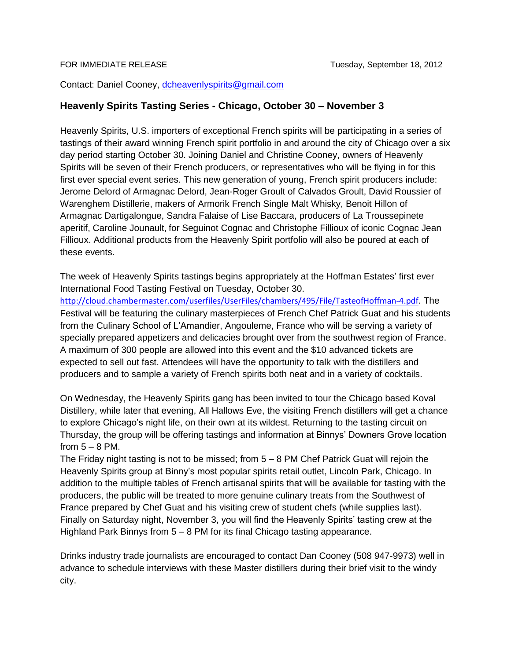Contact: Daniel Cooney, [dcheavenlyspirits@gmail.com](mailto:dcheavenlyspirits@gmail.com)

## **Heavenly Spirits Tasting Series - Chicago, October 30 – November 3**

Heavenly Spirits, U.S. importers of exceptional French spirits will be participating in a series of tastings of their award winning French spirit portfolio in and around the city of Chicago over a six day period starting October 30. Joining Daniel and Christine Cooney, owners of Heavenly Spirits will be seven of their French producers, or representatives who will be flying in for this first ever special event series. This new generation of young, French spirit producers include: Jerome Delord of Armagnac Delord, Jean-Roger Groult of Calvados Groult, David Roussier of Warenghem Distillerie, makers of Armorik French Single Malt Whisky, Benoit Hillon of Armagnac Dartigalongue, Sandra Falaise of Lise Baccara, producers of La Troussepinete aperitif, Caroline Jounault, for Seguinot Cognac and Christophe Fillioux of iconic Cognac Jean Fillioux. Additional products from the Heavenly Spirit portfolio will also be poured at each of these events.

The week of Heavenly Spirits tastings begins appropriately at the Hoffman Estates' first ever International Food Tasting Festival on Tuesday, October 30. <http://cloud.chambermaster.com/userfiles/UserFiles/chambers/495/File/TasteofHoffman-4.pdf>. The Festival will be featuring the culinary masterpieces of French Chef Patrick Guat and his students from the Culinary School of L'Amandier, Angouleme, France who will be serving a variety of specially prepared appetizers and delicacies brought over from the southwest region of France. A maximum of 300 people are allowed into this event and the \$10 advanced tickets are expected to sell out fast. Attendees will have the opportunity to talk with the distillers and producers and to sample a variety of French spirits both neat and in a variety of cocktails.

On Wednesday, the Heavenly Spirits gang has been invited to tour the Chicago based Koval Distillery, while later that evening, All Hallows Eve, the visiting French distillers will get a chance to explore Chicago's night life, on their own at its wildest. Returning to the tasting circuit on Thursday, the group will be offering tastings and information at Binnys' Downers Grove location from  $5 - 8$  PM.

The Friday night tasting is not to be missed; from 5 – 8 PM Chef Patrick Guat will rejoin the Heavenly Spirits group at Binny's most popular spirits retail outlet, Lincoln Park, Chicago. In addition to the multiple tables of French artisanal spirits that will be available for tasting with the producers, the public will be treated to more genuine culinary treats from the Southwest of France prepared by Chef Guat and his visiting crew of student chefs (while supplies last). Finally on Saturday night, November 3, you will find the Heavenly Spirits' tasting crew at the Highland Park Binnys from 5 – 8 PM for its final Chicago tasting appearance.

Drinks industry trade journalists are encouraged to contact Dan Cooney (508 947-9973) well in advance to schedule interviews with these Master distillers during their brief visit to the windy city.